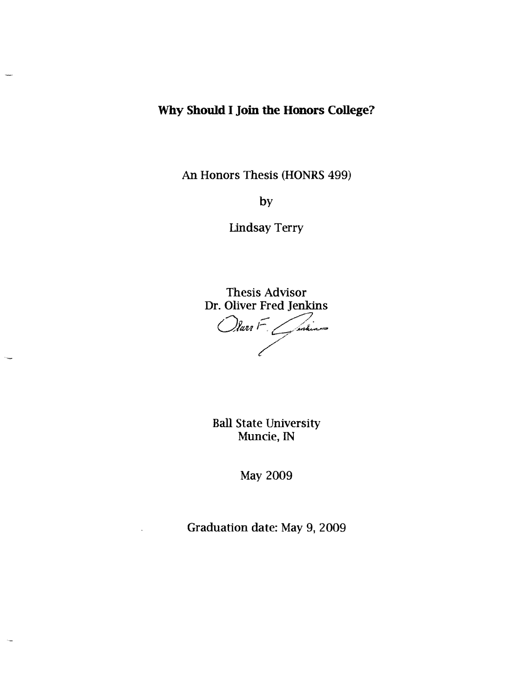# **Why Should I Join the Honors College?**

An Honors Thesis (HONRS 499)

by

**Lindsay Terry** 

Thesis Advisor Dr. Oliver Fred Jenkins

Olar F. *Gardines* 

Ball State University Muncie, IN

May 2009

Graduation date: May 9, 2009

 $\ddot{\phantom{a}}$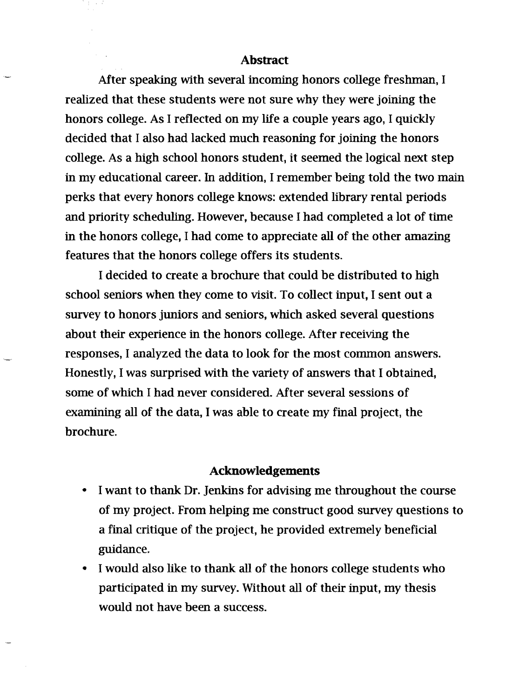### **Abstract**

After speaking with several incoming honors college freshman, I realized that these students were not sure why they were joining the honors college. As I reflected on my life a couple years ago, I quickly decided that I also had lacked much reasoning for joining the honors college. As a high school honors student, it seemed the logical next step in my educational career. In addition, I remember being told the two main perks that every honors college knows: extended library rental periods and priority scheduling. However, because I had completed a lot of time in the honors college, I had come to appreciate all of the other amazing features that the honors college offers its students.

I decided to create a brochure that could be distributed to high school seniors when they come to visit. To collect input, I sent out a survey to honors juniors and seniors, which asked several questions about their experience in the honors college. After receiving the responses, I analyzed the data to look for the most common answers. Honestly, I was surprised with the variety of answers that I obtained, some of which I had never considered. After several sessions of examining all of the data, I was able to create my final project, the brochure.

### **Acknowledgements**

- I want to thank Dr. Jenkins for advising me throughout the course of my project. From helping me construct good survey questions to a final critique of the project, he provided extremely beneficial guidance.
- I would also like to thank all of the honors college students who participated in my survey. Without all of their input, my thesis would not have been a success.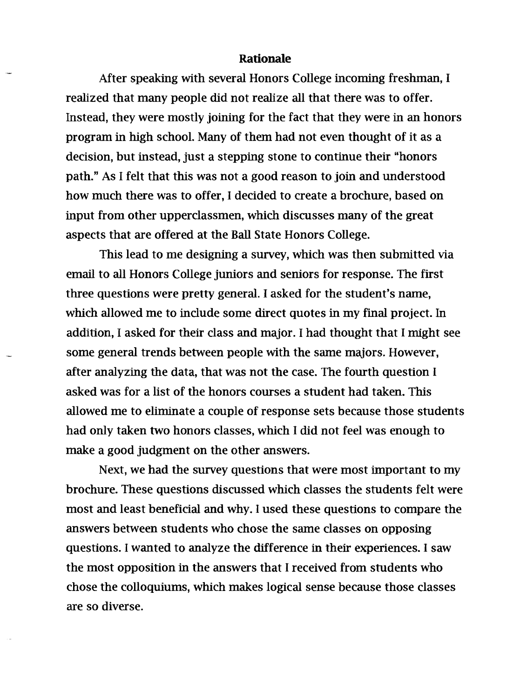#### Rationale

After speaking with several Honors College incoming freshman, I realized that many people did not realize all that there was to offer. Instead, they were mostly joining for the fact that they were in an honors program in high school. Many of them had not even thought of it as a decision, but instead, just a stepping stone to continue their "honors path." As I felt that this was not a good reason to join and understood how much there was to offer, I decided to create a brochure, based on input from other upperclassmen, which discusses many of the great aspects that are offered at the Ball State Honors College.

This lead to me designing a survey, which was then submitted via email to all Honors College juniors and seniors for response. The first three questions were pretty general. I asked for the student's name, which allowed me to include some direct quotes in my final project. In addition, I asked for their class and major. I had thought that I might see some general trends between people with the same majors. However, after analyzing the data, that was not the case. The fourth question I asked was for a list of the honors courses a student had taken. This allowed me to eliminate a couple of response sets because those students had only taken two honors classes, which I did not feel was enough to make a good judgment on the other answers.

Next, we had the survey questions that were most important to my brochure. These questions discussed which classes the students felt were most and least beneficial and why. I used these questions to compare the answers between students who chose the same classes on opposing questions. I wanted to analyze the difference in their experiences. I saw the most opposition in the answers that I received from students who chose the colloquiums, which makes logical sense because those classes are so diverse.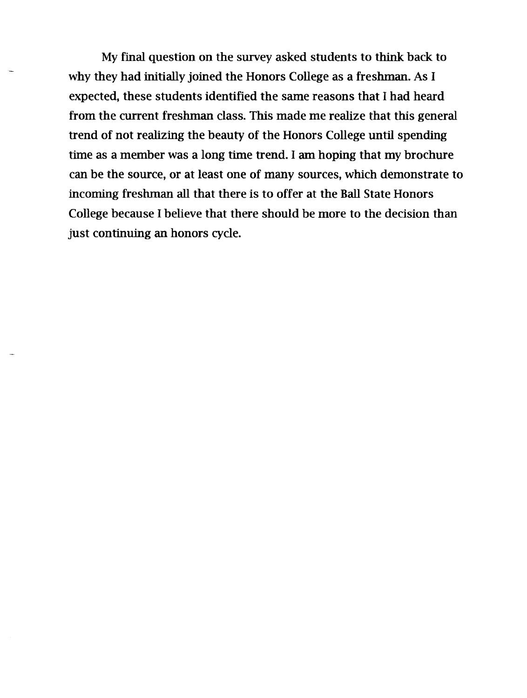My final question on the survey asked students to think back to why they had initially joined the Honors College as a freshman. As I expected, these students identified the same reasons that I had heard from the current freshman class. This made me realize that this general trend of not realizing the beauty of the Honors College until spending time as a member was a long time trend. I am hoping that my brochure can be the source, or at least one of many sources, which demonstrate to incoming freshman all that there is to offer at the Ball State Honors College because I believe that there should be more to the decision than just continuing an honors cycle.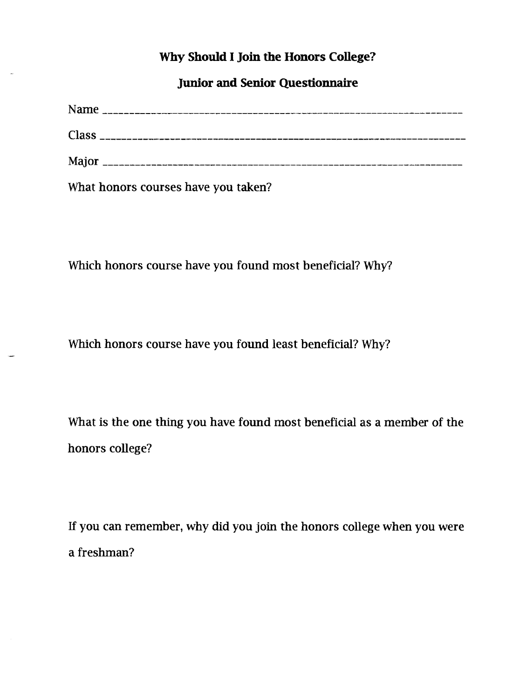# **Why Should I Join the Honors College?**

**Junior and Senior Questionnaire** 

| What honors courses have you taken? |  |
|-------------------------------------|--|

Which honors course have you found most beneficial? Why?

Which honors course have you found least beneficial? Why?

What is the one thing you have found most beneficial as a member of the honors college?

If you can remember, why did you join the honors college when you were a freshman?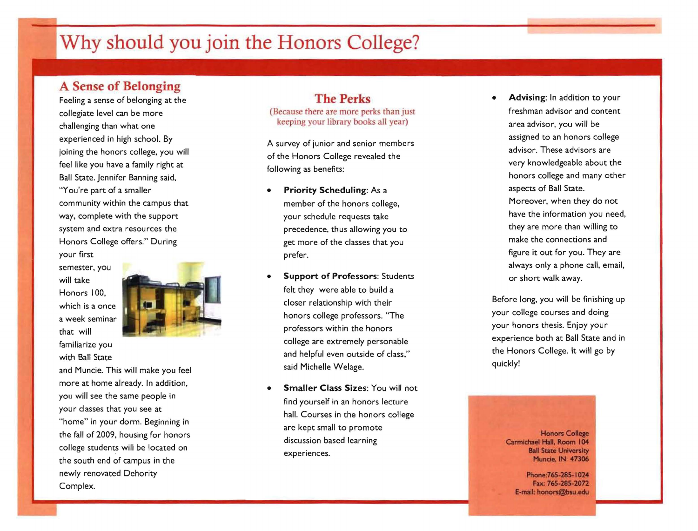# Why **should you join the Honors College?**

## **A Sense of Belonging**

Feeling a sense of belonging at the collegiate level can be more challenging than what one experienced in high school. By joining the honors college, you will feel like you have a family right at Ball State. Jennifer Banning said, "You're part of a smaller community within the campus that way, complete with the support system and extra resources the Honors College offers." During your first

semester, you will take Honors 100, which is a once a week seminar that will familiarize you

with Ball State



and Muncie. This will make you feel more at home already. In addition, you will see the same people in your classes that you see at "home" in your dorm. Beginning in the fall of 2009, housing for honors college students will be located on the south end of campus in the newly renovated Dehority Complex.

### **The Perks**

(Because there are more perks than just keeping your library books all year)

A survey of junior and senior members of the Honors College revealed the following as benefits:

- **Priority Scheduling: As a** member of the honors college, your schedule requests take precedence, thus allowing you to get more of the classes that you prefer.
- **Support of Professors: Students** felt they were able to build a closer relationship with their honors college professors. "The professors within the honors college are extremely personable and helpful even outside of class," said Michelle Welage.
- **Smaller Class** Sizes: You will not find yourself in an honors lecture hall. Courses in the honors college are kept small to promote discussion based learning experiences.

Advising: In addition to your freshman advisor and content area advisor, you will be assigned to an honors college advisor. These advisors are very knowledgeable about the honors college and many other aspects of Ball State. Moreover, when they do not have the information you need, they are more than willing to make the connections and figure it out for you. They are always only a phone call, email, or short walk away.

Before long, you will be finishing up your college courses and doing your honors thesis. Enjoy your experience both at Ball State and in the Honors College. It will go by qUickly!

**Honors College Carmichael Hal, Room 104 Ball State University Muncie, IN 47306** 

**Phone:765.285-1024 Fax: 765·285-2072 E-mail: honors@bsu.edu**